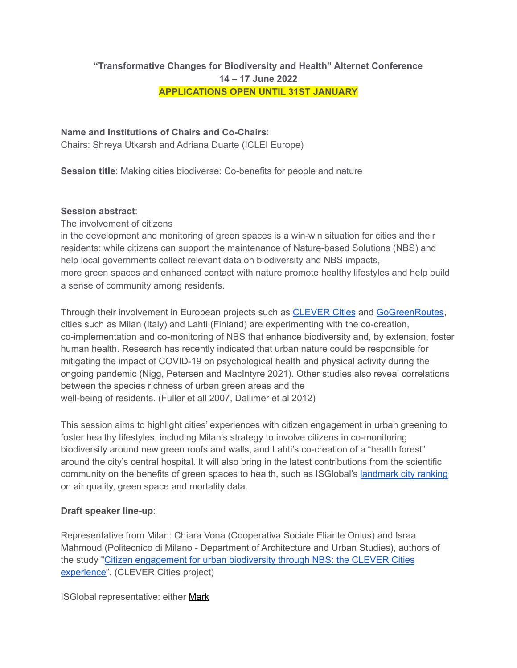# **"Transformative Changes for Biodiversity and Health" Alternet Conference 14 – 17 June 2022 APPLICATIONS OPEN UNTIL 31ST JANUARY**

# **Name and Institutions of Chairs and Co-Chairs**:

Chairs: Shreya Utkarsh and Adriana Duarte (ICLEI Europe)

**Session title**: Making cities biodiverse: Co-benefits for people and nature

### **Session abstract**:

The involvement of citizens

in the development and monitoring of green spaces is a win-win situation for cities and their residents: while citizens can support the maintenance of Nature-based Solutions (NBS) and help local governments collect relevant data on biodiversity and NBS impacts, more green spaces and enhanced contact with nature promote healthy lifestyles and help build a sense of community among residents.

Through their involvement in European projects such as [CLEVER](http://clevercities.eu/) Cities and [GoGreenRoutes,](https://gogreenroutes.eu/) cities such as Milan (Italy) and Lahti (Finland) are experimenting with the co-creation, co-implementation and co-monitoring of NBS that enhance biodiversity and, by extension, foster human health. Research has recently indicated that urban nature could be responsible for mitigating the impact of COVID-19 on psychological health and physical activity during the ongoing pandemic (Nigg, Petersen and MacIntyre 2021). Other studies also reveal correlations between the species richness of urban green areas and the well-being of residents. (Fuller et all 2007, Dallimer et al 2012)

This session aims to highlight cities' experiences with citizen engagement in urban greening to foster healthy lifestyles, including Milan's strategy to involve citizens in co-monitoring biodiversity around new green roofs and walls, and Lahti's co-creation of a "health forest" around the city's central hospital. It will also bring in the latest contributions from the scientific community on the benefits of green spaces to health, such as ISGlobal's [landmark](https://isglobalranking.org/) city ranking on air quality, green space and mortality data.

# **Draft speaker line-up**:

Representative from Milan: Chiara Vona (Cooperativa Sociale Eliante Onlus) and Israa Mahmoud (Politecnico di Milano - Department of Architecture and Urban Studies), authors of the study "Citizen [engagement](https://clevercities.eu/resources/scientific-publications/) for urban biodiversity through NBS: the CLEVER Cities [experience"](https://clevercities.eu/resources/scientific-publications/). (CLEVER Cities project)

ISGlobal representative: either Mark